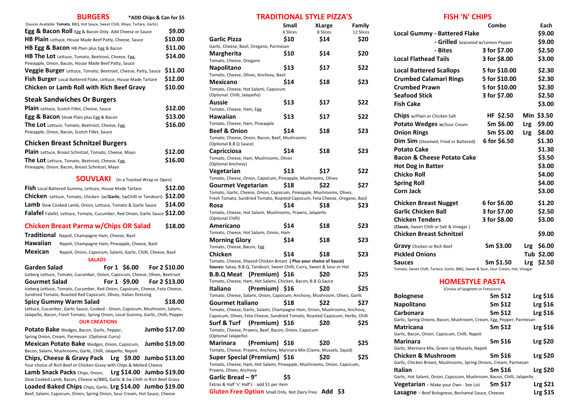#### **BURGERS \*ADD Chips & Can for \$5**

| (Sauces Available: Tomato, BBQ, Hot Sauce, Sweet Chilli, Mayo, Tartare, Garlic) |         |
|---------------------------------------------------------------------------------|---------|
| Egg & Bacon Roll Egg & Bacon Only. Add Cheese or Sauce                          | \$9.00  |
| HB Plain Lettuce, House Made Beef Patty, Cheese, Sauce                          | \$10.00 |
| HB Egg & Bacon HB Plain plus Egg & Bacon                                        | \$11.00 |
| HB The Lot Lettuce, Tomato, Beetroot, Cheese, Egg,                              | \$14.00 |
| Pineapple, Onion, Bacon, House Made Beef Patty, Sauce                           |         |
| Veggie Burger Lettuce, Tomato, Beetroot, Cheese, Patty, Sauce                   | \$11.00 |
| Fish Burger Local Battered Flake, Lettuce, House Made Tartare                   | \$12.00 |
| <b>Chicken or Lamb Roll with Rich Beef Gravy</b>                                | \$10.00 |
|                                                                                 |         |

#### **Steak Sandwiches Or Burgers**

| Plain Lettuce, Scotch Fillet, Cheese, Sauce     | \$12.00 |
|-------------------------------------------------|---------|
| Egg & Bacon Steak Plain plus Egg & Bacon        | \$13.00 |
| The Lot Lettuce, Tomato, Beetroot, Cheese, Egg, | \$16.00 |
| Pineapple, Onion, Bacon, Scotch Fillet, Sauce   |         |

#### **Chicken Breast Schnitzel Burgers**

|                    | Plain Lettuce, Breast Schnitzel, Tomato, Cheese, Mayo                        | \$12.00       |
|--------------------|------------------------------------------------------------------------------|---------------|
|                    | <b>The Lot</b> Lettuce, Tomato, Beetroot, Cheese, Egg,                       | \$16.00       |
|                    | Pineapple, Onion, Bacon, Breast Schnitzel, Mayo                              |               |
|                    | <b>SOUVLAKI</b><br>(In a Toasted Wrap or Open)                               |               |
|                    | Fish Local Battered Gummy, Lettuce, House Made Tartare                       | \$12.00       |
|                    | <b>Chicken</b> Lettuce, Tomato, Chicken (w/Garlic, SwChilli or Tandoori)     | \$12.00       |
|                    | <b>Lamb</b> Slow Cooked Lamb, Onion, Lettuce, Tomato & Garlic Sauce          | \$14.00       |
|                    | Falafel Falafel, Lettuce, Tomato, Cucumber, Red Onion, Garlic Sauce \$12.00  |               |
|                    | <b>Chicken Breast Parma w/Chips OR Salad</b>                                 | \$18.00       |
| <b>Traditional</b> | Napoli, Champagne Ham, Cheese, Basil                                         |               |
| Hawaiian           | Napoli, Champagne Ham, Pineapple, Cheese, Basil                              |               |
| <b>Mexican</b>     | Napoli, Onion, Capsicum, Salami, Garlic, Chilli, Cheese, Basil               |               |
|                    | <b>SALADS</b>                                                                |               |
| Garden Salad       | For 1 \$6.00                                                                 | For 2 \$10.00 |
|                    | Iceberg Lettuce, Tomato, Cucumber, Onion, Capsicum, Cheese, Olives, Beetroot |               |

**Gourmet Salad For 1 \$9.00 For 2 \$13.00** Iceberg Lettuce, Tomato, Cucumber, Red Onion, Capsicum, Cheese, Feta Cheese,

| Sundried Tomato, Roasted Red Capsicum, Olives, Italian Dressing              |         |
|------------------------------------------------------------------------------|---------|
| <b>Spicy Gummy Warm Salad</b>                                                | \$18.00 |
| Lettuce, Cucumber, Garlic Sauce, Cooked - Onion, Capsicum, Mushroom, Salami, |         |

Jalapeño, Bacon, Fresh Tomato, Spring Onion, Local Gummy, Garlic, Chilli, Pepper

### **DUR CREATIONS**

| UUN UNLAHUND                                                                 |
|------------------------------------------------------------------------------|
| Jumbo \$17.00<br>Potato Bake Wedges, Bacon, Garlic, Pepper,                  |
| Spring Onion, Cream, Parmesan (Optional Curry)                               |
| Mexican Potato Bake Wedges, Onion, Capsicum, Jumbo \$19.00                   |
| Bacon, Salami, Mushrooms, Garlic, Chilli, Jalapeño, Napoli                   |
| Chips, Cheese & Gravy Pack Lrg \$9.00 Jumbo \$13.00                          |
| Your choice of Rich Beef or Chicken Gravy with Chips & Melted Cheese         |
| Lamb Snack Packs Chips, Onion, Lrg \$14.00 Jumbo \$19.00                     |
| Slow Cooked Lamb, Bacon, Cheese w/BBQ, Garlic & Sw Chilli on Rich Beef Gravy |
| Loaded Baked Chips Chips, Garlic, Lrg \$14.00 Jumbo \$19.00                  |
| Beef, Salami, Capsicum, Onion, Spring Onion, Sour Cream, Hot Sauce, Cheese   |

# **TRADITIONAL STYLE PIZZA'S**

|                                                                                                                                                        | Small    | <b>XLarge</b> | Family    |
|--------------------------------------------------------------------------------------------------------------------------------------------------------|----------|---------------|-----------|
|                                                                                                                                                        | 6 Slices | 8 Slices      | 12 Slices |
| Garlic Pizza                                                                                                                                           | \$10     | \$14          | \$20      |
| Garlic, Cheese, Basil, Oregano, Parmesan                                                                                                               |          |               |           |
| Margherita                                                                                                                                             | S10      | \$14          | \$20      |
| Tomato, Cheese, Oregano                                                                                                                                |          |               |           |
| <b>Napolitano</b>                                                                                                                                      | \$13     | \$17          | \$22      |
| Tomato, Cheese, Olives, Anchovy, Basil                                                                                                                 |          |               |           |
| Mexicano                                                                                                                                               | S14      | \$18          | \$23      |
| Tomato, Cheese, Hot Salami, Capsicum<br>(Optional: Chilli, Jalapeño)                                                                                   |          |               |           |
| Aussie                                                                                                                                                 | \$13     | \$17          | \$22      |
| Tomato, Cheese, Ham, Egg                                                                                                                               |          |               |           |
| Hawaiian                                                                                                                                               | \$13     | \$17          | \$22      |
| Tomato, Cheese, Ham, Pineapple                                                                                                                         |          |               |           |
| <b>Beef &amp; Onion</b>                                                                                                                                | \$14     | \$18          | \$23      |
| Tomato, Cheese, Onion, Bacon, Beef, Mushrooms<br>(Optional B.B.Q Sauce)                                                                                |          |               |           |
| <b>Capricciosa</b>                                                                                                                                     | S14      | \$18          | \$23      |
| Tomato, Cheese, Ham, Mushrooms, Olives<br>(Optional Anchovy)                                                                                           |          |               |           |
| Vegetarian                                                                                                                                             | \$13     | S17           | \$22      |
| Tomato, Cheese, Onion, Capsicum, Pineapple, Mushrooms, Olives                                                                                          |          |               |           |
| Gourmet Vegetarian                                                                                                                                     | \$18     | S22           | \$27      |
| Tomato, Garlic, Cheese, Onion, Capsicum, Pineapple, Mushrooms, Olives,<br>Fresh Tomato, Sundried Tomato, Roasted Capsicum, Feta Cheese, Oregano, Basil |          |               |           |
| Rosa                                                                                                                                                   | S14      | S18           | S23       |
| Tomato, Cheese, Hot Salami, Mushrooms, Prawns, Jalapeño<br>(Optional Chilli)                                                                           |          |               |           |
| Americano                                                                                                                                              | \$14     | \$18          | S23       |
| Tomato, Cheese, Hot Salami, Onion, Ham                                                                                                                 |          |               |           |
| <b>Morning Glory</b>                                                                                                                                   | S14      | \$18          | \$23      |
| Tomato, Cheese, Bacon, Egg                                                                                                                             |          |               |           |
| Chicken                                                                                                                                                | \$14     | S18           | \$23      |
| Tomato, Cheese, Shaved Chicken Breast ( Plus your choice of Sauce)<br>Sauces: Satay, B.B.Q, Tandoori, Sweet Chilli, Curry, Sweet & Sour or Hot         |          |               |           |
| (Premium) \$16<br>B.B.Q Meat                                                                                                                           |          | <b>S20</b>    | \$25      |
| Tomato, Cheese, Ham, Hot Salami, Chicken, Bacon, B.B.Q Sauce                                                                                           |          |               |           |
| Italiano<br>(Premium) S16                                                                                                                              |          | S20           | \$25      |
| Tomato, Cheese, Salami, Onion, Capsicum, Anchovy, Mushroom, Olives, Garlic                                                                             |          |               |           |
| <b>Gourmet Italiano</b>                                                                                                                                | \$18     | \$22          | \$27      |
| Tomato, Cheese, Garlic, Salami, Champagne Ham, Onion, Mushrooms, Anchovy,                                                                              |          |               |           |
| Capsicum, Olives, Feta Cheese, Sundried Tomato, Roasted Capsicum, Herbs, Chilli                                                                        |          |               |           |
| Surf & Turf (Premium) \$16                                                                                                                             |          | <b>S20</b>    | S25       |
| Tomato, Cheese, Prawns, Beef, Bacon, Onion, Capsicum<br>(Optional Jalapeño)                                                                            |          |               |           |
| (Premium) \$16<br>Marinara                                                                                                                             |          | \$20          | S25       |
| Tomato, Cheese, Prawns, Anchovy, Marinara Mix (Clams, Mussels, Squid)                                                                                  |          |               |           |
| Super Special (Premium) \$16                                                                                                                           |          | S20           | S25       |
| Tomato, Cheese, Ham, Hot Salami, Pineapple, Mushrooms, Onion, Capsicum,                                                                                |          |               |           |
| Prawns, Olives, Anchovy                                                                                                                                |          |               |           |
| Garlic Bread $-9$ "                                                                                                                                    | S5       |               |           |
| Extras & Half 'n' Half's - add \$1 per item                                                                                                            |          |               |           |
| Gluten Free Option Small Only. Not Dairy Free. Add \$3                                                                                                 |          |               |           |

#### **FISH 'N' CHIPS**

| <b>Local Gummy - Battered Flake</b><br>- Grilled Seasoned w/Lemon Pepper<br>- Bites<br><b>Local Flathead Tails</b>                                                                                                                                                                                 | Combo<br>3 for \$7.00<br>3 for \$8.00                           |                   | Each<br>\$9.00<br>\$9.00<br>\$2.50<br>\$3.00                                                         |
|----------------------------------------------------------------------------------------------------------------------------------------------------------------------------------------------------------------------------------------------------------------------------------------------------|-----------------------------------------------------------------|-------------------|------------------------------------------------------------------------------------------------------|
| <b>Local Battered Scallops</b><br><b>Crumbed Calamari Rings</b><br><b>Crumbed Prawn</b><br><b>Seafood Stick</b><br><b>Fish Cake</b>                                                                                                                                                                | 5 for \$10.00<br>5 for \$10.00<br>5 for \$10.00<br>3 for \$7.00 |                   | \$2.30<br>\$2.30<br>\$2.30<br>\$2.50<br>\$3.00                                                       |
| <b>Chips</b> w/Plain or Chicken Salt<br><b>Potato Wedges w/Sour Cream</b><br><b>Onion Rings</b><br><b>Dim Sim</b> (Steamed, Fried or Battered)<br><b>Potato Cake</b><br><b>Bacon &amp; Cheese Potato Cake</b><br><b>Hot Dog in Batter</b><br><b>Chicko Roll</b><br><b>Spring Roll</b><br>Corn Jack | <b>HF \$2.50</b><br>Sm \$6.00<br>Sm \$5.00<br>6 for \$6.50      | <b>Lrg</b><br>Lrg | Min \$3.50<br>\$9.00<br>\$8.00<br>\$1.30<br>\$1.30<br>\$3.50<br>\$3.00<br>\$4.00<br>\$4.00<br>\$3.00 |
| <b>Chicken Breast Nugget</b><br><b>Garlic Chicken Ball</b><br><b>Chicken Tenders</b><br>(Classic, Sweet Chilli or Salt & Vinegar)<br><b>Chicken Breast Schnitzel</b>                                                                                                                               | 6 for \$6.00<br>3 for \$7.00<br>3 for \$8.00                    |                   | \$1.20<br>\$2.50<br>\$3.00<br>\$9.00                                                                 |
| <b>Gravy</b> Chicken or Rich Beef<br><b>Pickled Onions</b><br><b>Sauces</b>                                                                                                                                                                                                                        | Sm \$3.00<br>Sm \$1.50                                          | Lrg<br>Lrg        | \$6.00<br>Tub \$2.00<br>\$2.50                                                                       |

Tomato, Sweet Chilli, Tartare, Garlic, BBQ, Sweet & Sour, Sour Cream, Hot, Vinegar

#### **HOMESTYLE PASTA** (Choice of Spaghetti or Fettuccini)

| (Choice of Spagnetti of Fettuccini)<br><b>Bolognese</b>                | Sm \$12 | <b>Lrg \$16</b> |
|------------------------------------------------------------------------|---------|-----------------|
| <b>Napolitano</b>                                                      | Sm \$12 | <b>Lrg \$16</b> |
| Carbonara                                                              | Sm \$12 | Lrg \$16        |
| Garlic, Spring Onions, Bacon, Mushroom, Cream, Egg, Pepper, Parmesan   |         |                 |
| Matricana                                                              | Sm \$12 | <b>Lrg \$16</b> |
| Garlic, Bacon, Onion, Capsicum, Chilli, Napoli                         |         |                 |
| <b>Marinara</b>                                                        | Sm \$16 | <b>Lrg \$20</b> |
| Garlic, Marinara Mix, Green Lip Mussels, Napoli                        |         |                 |
| <b>Chicken &amp; Mushroom</b>                                          | Sm \$16 | <b>Lrg \$20</b> |
| Garlic, Chicken Breast, Mushrooms, Spring Onions, Cream, Parmesan      |         |                 |
| Italian                                                                | Sm \$16 | <b>Lrg \$20</b> |
| Garlic, Hot Salami, Onion, Capsicum, Mushroom, Bacon, Chilli, Jalapeño |         |                 |
| Vegetarian - Make your Own - See List                                  | Sm \$17 | <b>Lrg \$21</b> |
| <b>Lasagne</b> – Beef Bolognese, Bechamal Sauce, Cheeses               |         | <b>Lrg \$15</b> |